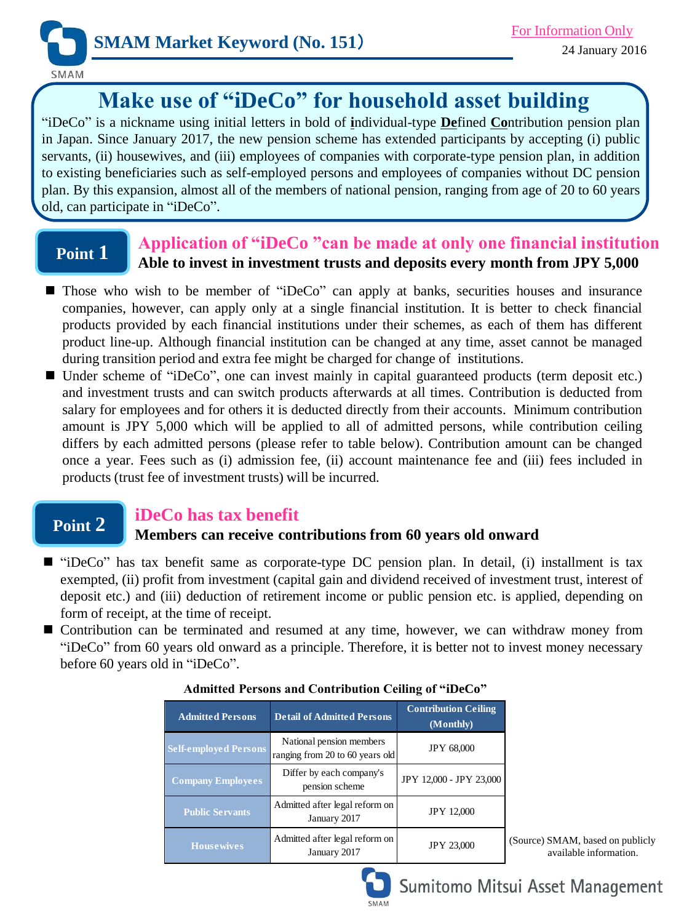

SMAM

# **Make use of "iDeCo" for household asset building**

"iDeCo" is a nickname using initial letters in bold of **i**ndividual-type **De**fined **Co**ntribution pension plan in Japan. Since January 2017, the new pension scheme has extended participants by accepting (i) public servants, (ii) housewives, and (iii) employees of companies with corporate-type pension plan, in addition to existing beneficiaries such as self-employed persons and employees of companies without DC pension plan. By this expansion, almost all of the members of national pension, ranging from age of 20 to 60 years old, can participate in "iDeCo".

## **Point 1**

### **Application of "iDeCo "can be made at only one financial institution Able to invest in investment trusts and deposits every month from JPY 5,000**

- Those who wish to be member of "iDeCo" can apply at banks, securities houses and insurance companies, however, can apply only at a single financial institution. It is better to check financial products provided by each financial institutions under their schemes, as each of them has different product line-up. Although financial institution can be changed at any time, asset cannot be managed during transition period and extra fee might be charged for change of institutions.
- Under scheme of "iDeCo", one can invest mainly in capital guaranteed products (term deposit etc.) and investment trusts and can switch products afterwards at all times. Contribution is deducted from salary for employees and for others it is deducted directly from their accounts. Minimum contribution amount is JPY 5,000 which will be applied to all of admitted persons, while contribution ceiling differs by each admitted persons (please refer to table below). Contribution amount can be changed once a year. Fees such as (i) admission fee, (ii) account maintenance fee and (iii) fees included in products (trust fee of investment trusts) will be incurred.

## **Point 2**

### **iDeCo has tax benefit**

### **Members can receive contributions from 60 years old onward**

- "iDeCo" has tax benefit same as corporate-type DC pension plan. In detail, (i) installment is tax exempted, (ii) profit from investment (capital gain and dividend received of investment trust, interest of deposit etc.) and (iii) deduction of retirement income or public pension etc. is applied, depending on form of receipt, at the time of receipt.
- Contribution can be terminated and resumed at any time, however, we can withdraw money from "iDeCo" from 60 years old onward as a principle. Therefore, it is better not to invest money necessary before 60 years old in "iDeCo".

| <b>Admitted Persons</b>      | <b>Detail of Admitted Persons</b>                           | <b>Contribution Ceiling</b><br>(Monthly) |
|------------------------------|-------------------------------------------------------------|------------------------------------------|
| <b>Self-employed Persons</b> | National pension members<br>ranging from 20 to 60 years old | <b>JPY 68,000</b>                        |
| <b>Company Employees</b>     | Differ by each company's<br>pension scheme                  | JPY 12,000 - JPY 23,000                  |
| <b>Public Servants</b>       | Admitted after legal reform on<br>January 2017              | <b>JPY 12,000</b>                        |
| <b>House wives</b>           | Admitted after legal reform on<br>January 2017              | <b>JPY 23,000</b>                        |

#### **Admitted Persons and Contribution Ceiling of "iDeCo"**

(Source) SMAM, based on publicly available information.



## Sumitomo Mitsui Asset Management